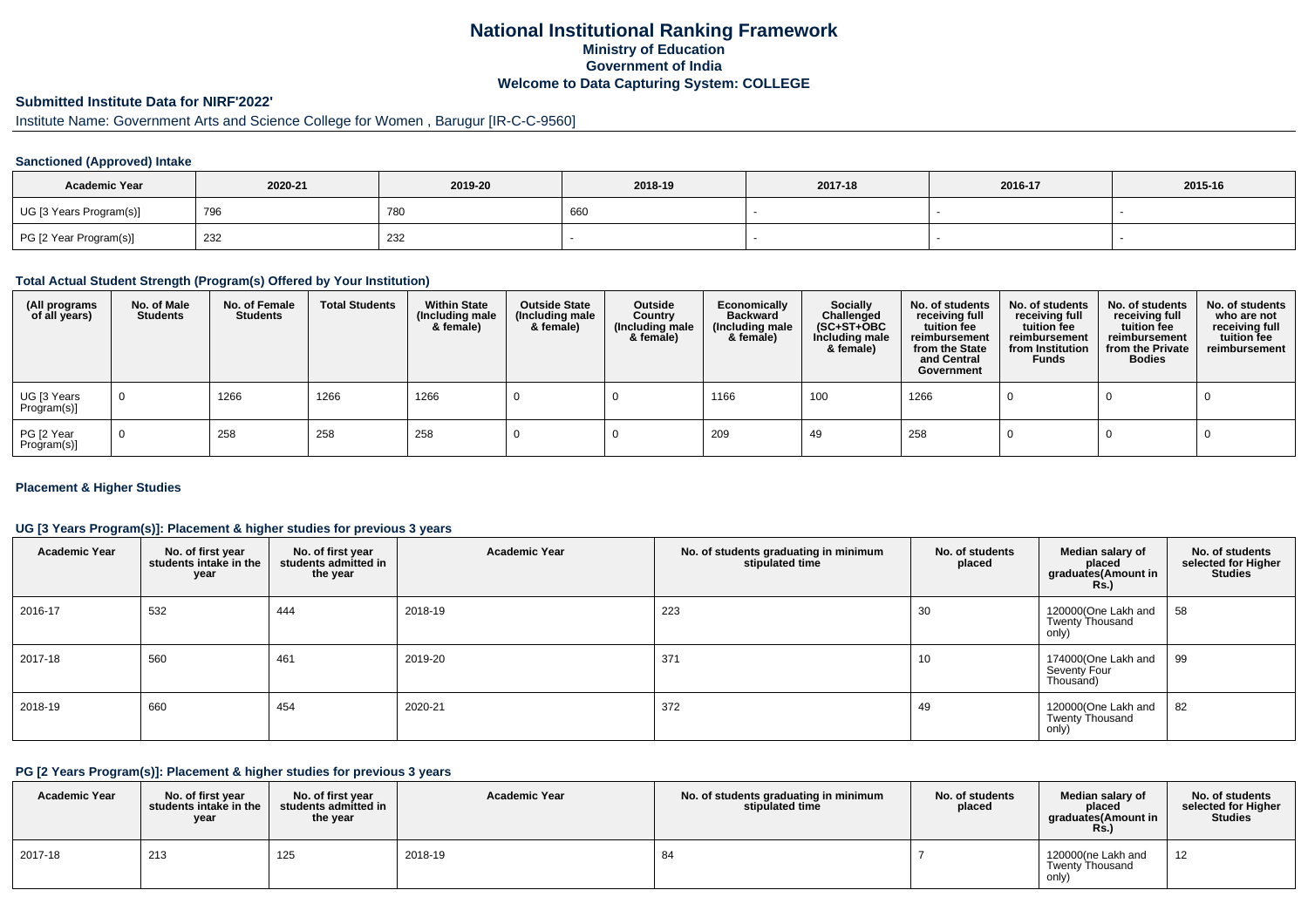## **National Institutional Ranking FrameworkMinistry of Education Government of IndiaWelcome to Data Capturing System: COLLEGE**

# **Submitted Institute Data for NIRF'2022'**

# Institute Name: Government Arts and Science College for Women , Barugur [IR-C-C-9560]

### **Sanctioned (Approved) Intake**

| <b>Academic Year</b>    | 2020-21 | 2019-20    | 2018-19 | 2017-18 | 2016-17 | 2015-16 |
|-------------------------|---------|------------|---------|---------|---------|---------|
| UG [3 Years Program(s)] | 796     | <b>780</b> | 660     |         |         |         |
| PG [2 Year Program(s)]  | 232     | 232        |         |         |         |         |

#### **Total Actual Student Strength (Program(s) Offered by Your Institution)**

| (All programs<br>of all years) | No. of Male<br><b>Students</b> | No. of Female<br><b>Students</b> | <b>Total Students</b> | <b>Within State</b><br>(Including male<br>& female) | <b>Outside State</b><br>(Including male<br>& female) | Outside<br>Country<br>(Including male<br>& female) | Economically<br><b>Backward</b><br>(Including male<br>& female) | <b>Socially</b><br>Challenged<br>$(SC+ST+OBC)$<br>Including male<br>& female) | No. of students<br>receiving full<br>tuition fee<br>reimbursement<br>from the State<br>and Central<br>Government | No. of students<br>receiving full<br>tuition fee<br>reimbursement<br>from Institution<br><b>Funds</b> | No. of students<br>receiving full<br>tuition fee<br>reimbursement<br>from the Private<br><b>Bodies</b> | No. of students<br>who are not<br>receiving full<br>tuition fee<br>reimbursement |
|--------------------------------|--------------------------------|----------------------------------|-----------------------|-----------------------------------------------------|------------------------------------------------------|----------------------------------------------------|-----------------------------------------------------------------|-------------------------------------------------------------------------------|------------------------------------------------------------------------------------------------------------------|-------------------------------------------------------------------------------------------------------|--------------------------------------------------------------------------------------------------------|----------------------------------------------------------------------------------|
| UG [3 Years<br>Program(s)]     |                                | 1266                             | 1266                  | 1266                                                |                                                      |                                                    | 1166                                                            | 100                                                                           | 1266                                                                                                             |                                                                                                       |                                                                                                        |                                                                                  |
| PG [2 Year<br>Program(s)]      |                                | 258                              | 258                   | 258                                                 |                                                      |                                                    | 209                                                             | 49                                                                            | 258                                                                                                              |                                                                                                       |                                                                                                        |                                                                                  |

### **Placement & Higher Studies**

### **UG [3 Years Program(s)]: Placement & higher studies for previous 3 years**

| <b>Academic Year</b> | No. of first year<br>students intake in the<br>year | No. of first year<br>students admitted in<br>the year | <b>Academic Year</b> | No. of students graduating in minimum<br>stipulated time | No. of students<br>placed | Median salary of<br>placed<br>graduates(Amount in<br><b>Rs.)</b> | No. of students<br>selected for Higher<br><b>Studies</b> |
|----------------------|-----------------------------------------------------|-------------------------------------------------------|----------------------|----------------------------------------------------------|---------------------------|------------------------------------------------------------------|----------------------------------------------------------|
| 2016-17              | 532                                                 | 444                                                   | 2018-19              | 223                                                      | 30                        | 120000(One Lakh and<br><b>Twenty Thousand</b><br>only)           | 58                                                       |
| 2017-18              | 560                                                 | 461                                                   | 2019-20              | 371                                                      | 10                        | 174000(One Lakh and<br>Seventy Four<br>Thousand)                 | 99                                                       |
| 2018-19              | 660                                                 | 454                                                   | 2020-21              | 372                                                      | 49                        | 120000(One Lakh and<br>Twenty Thousand<br>only)                  | 82                                                       |

#### **PG [2 Years Program(s)]: Placement & higher studies for previous 3 years**

| <b>Academic Year</b> | No. of first vear<br>students intake in the<br>year | No. of first year<br>students admitted in<br>the year | <b>Academic Year</b> | No. of students graduating in minimum<br>stipulated time | No. of students<br>placed | Median salary of<br>placed<br>graduates(Amount in<br><b>Rs.)</b> | No. of students<br>selected for Higher<br><b>Studies</b> |
|----------------------|-----------------------------------------------------|-------------------------------------------------------|----------------------|----------------------------------------------------------|---------------------------|------------------------------------------------------------------|----------------------------------------------------------|
| 2017-18              | 213                                                 | 125                                                   | 2018-19              | O-                                                       |                           | 120000(ne Lakh and<br><b>Twenty Thousand</b><br>only)            | 12                                                       |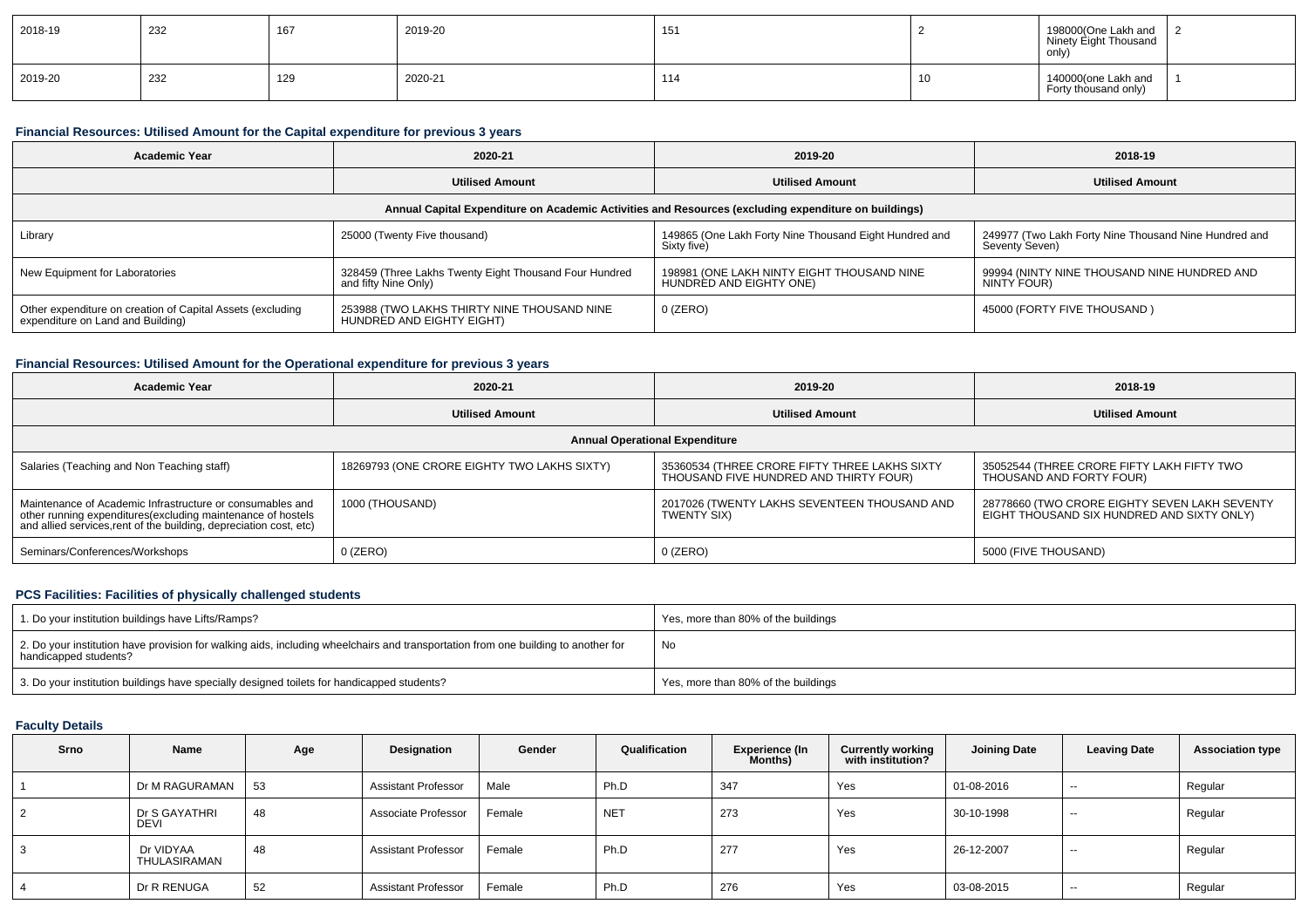| 2018-19 | 232 | 167 | 2019-20 | 151 |     | 198000(One Lakh and<br>Ninety Eight Thousand<br>only) |  |
|---------|-----|-----|---------|-----|-----|-------------------------------------------------------|--|
| 2019-20 | 232 | 129 | 2020-21 | 114 | -16 | 140000(one Lakh and<br>Forty thousand only)           |  |

### **Financial Resources: Utilised Amount for the Capital expenditure for previous 3 years**

| Academic Year                                                                                        | 2020-21                                                                        | 2019-20                                                               | 2018-19                                                                 |  |  |  |  |  |  |  |
|------------------------------------------------------------------------------------------------------|--------------------------------------------------------------------------------|-----------------------------------------------------------------------|-------------------------------------------------------------------------|--|--|--|--|--|--|--|
|                                                                                                      | <b>Utilised Amount</b>                                                         | <b>Utilised Amount</b>                                                | <b>Utilised Amount</b>                                                  |  |  |  |  |  |  |  |
| Annual Capital Expenditure on Academic Activities and Resources (excluding expenditure on buildings) |                                                                                |                                                                       |                                                                         |  |  |  |  |  |  |  |
| Library                                                                                              | 25000 (Twenty Five thousand)                                                   | 149865 (One Lakh Forty Nine Thousand Eight Hundred and<br>Sixty five) | 249977 (Two Lakh Forty Nine Thousand Nine Hundred and<br>Seventy Seven) |  |  |  |  |  |  |  |
| New Equipment for Laboratories                                                                       | 328459 (Three Lakhs Twenty Eight Thousand Four Hundred<br>and fifty Nine Only) | 198981 (ONE LAKH NINTY EIGHT THOUSAND NINE<br>HUNDRÈD AND EIGHTY ONE) | 99994 (NINTY NINE THOUSAND NINE HUNDRED AND<br>NINTY FOUR)              |  |  |  |  |  |  |  |
| Other expenditure on creation of Capital Assets (excluding<br>expenditure on Land and Building)      | 253988 (TWO LAKHS THIRTY NINE THOUSAND NINE<br>HUNDRED AND EIGHTY EIGHT)       | $0$ (ZERO)                                                            | 45000 (FORTY FIVE THOUSAND)                                             |  |  |  |  |  |  |  |

### **Financial Resources: Utilised Amount for the Operational expenditure for previous 3 years**

| <b>Academic Year</b>                                                                                                                                                                            | 2020-21                                     |                                                                                         | 2018-19                                                                                     |  |
|-------------------------------------------------------------------------------------------------------------------------------------------------------------------------------------------------|---------------------------------------------|-----------------------------------------------------------------------------------------|---------------------------------------------------------------------------------------------|--|
|                                                                                                                                                                                                 | <b>Utilised Amount</b>                      | <b>Utilised Amount</b>                                                                  | <b>Utilised Amount</b>                                                                      |  |
|                                                                                                                                                                                                 |                                             | <b>Annual Operational Expenditure</b>                                                   |                                                                                             |  |
| Salaries (Teaching and Non Teaching staff)                                                                                                                                                      | 18269793 (ONE CRORE EIGHTY TWO LAKHS SIXTY) | 35360534 (THREE CRORE FIFTY THREE LAKHS SIXTY<br>THOUSAND FIVE HUNDRED AND THIRTY FOUR) | 35052544 (THREE CRORE FIFTY LAKH FIFTY TWO<br>THOUSAND AND FORTY FOUR)                      |  |
| Maintenance of Academic Infrastructure or consumables and<br>other running expenditures (excluding maintenance of hostels<br>and allied services, rent of the building, depreciation cost, etc) | 1000 (THOUSAND)                             | 2017026 (TWENTY LAKHS SEVENTEEN THOUSAND AND<br><b>TWENTY SIX)</b>                      | 28778660 (TWO CRORE EIGHTY SEVEN LAKH SEVENTY<br>EIGHT THOUSAND SIX HUNDRED AND SIXTY ONLY) |  |
| Seminars/Conferences/Workshops                                                                                                                                                                  | $0$ (ZERO)                                  | $0$ (ZERO)                                                                              | 5000 (FIVE THOUSAND)                                                                        |  |

### **PCS Facilities: Facilities of physically challenged students**

| 1. Do your institution buildings have Lifts/Ramps?                                                                                                         | Yes, more than 80% of the buildings |
|------------------------------------------------------------------------------------------------------------------------------------------------------------|-------------------------------------|
| 2. Do your institution have provision for walking aids, including wheelchairs and transportation from one building to another for<br>handicapped students? | No                                  |
| 3. Do your institution buildings have specially designed toilets for handicapped students?                                                                 | Yes, more than 80% of the buildings |

### **Faculty Details**

| Srno | Name                      | Age | Designation                | Gender | Qualification   | <b>Experience (In</b><br>Months) | <b>Currently working</b><br>with institution? | <b>Joining Date</b> | <b>Leaving Date</b> | <b>Association type</b> |
|------|---------------------------|-----|----------------------------|--------|-----------------|----------------------------------|-----------------------------------------------|---------------------|---------------------|-------------------------|
|      | Dr M RAGURAMAN            | 53  | <b>Assistant Professor</b> | Male   | Ph.D            | 347                              | Yes                                           | 01-08-2016          | $- -$               | Regular                 |
|      | Dr S GAYATHRI<br>DEVI     | 48  | Associate Professor        | Female | NE <sup>-</sup> | 273                              | Yes                                           | 30-10-1998          | $\sim$              | Regular                 |
| 3    | Dr VIDYAA<br>THULASIRAMAN | 48  | <b>Assistant Professor</b> | Female | Ph.D            | 277                              | Yes                                           | 26-12-2007          | $- -$               | Regular                 |
|      | Dr R RENUGA               | 52  | <b>Assistant Professor</b> | Female | Ph.D            | 276                              | Yes                                           | 03-08-2015          | $\sim$              | Regular                 |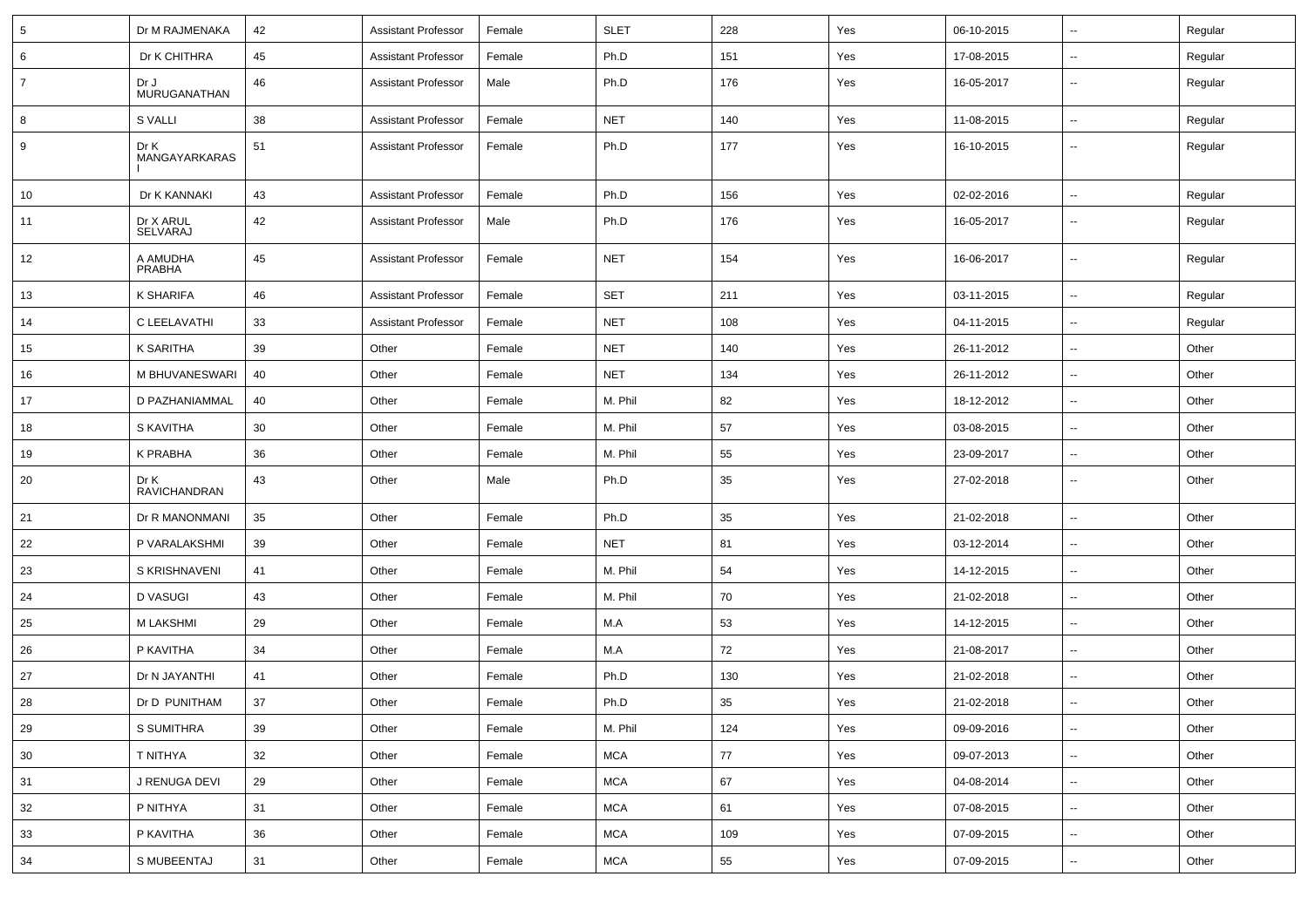| $\sqrt{5}$     | Dr M RAJMENAKA              | 42 | <b>Assistant Professor</b> | Female | <b>SLET</b> | 228 | Yes | 06-10-2015 | $\overline{\phantom{a}}$ | Regular |
|----------------|-----------------------------|----|----------------------------|--------|-------------|-----|-----|------------|--------------------------|---------|
| 6              | Dr K CHITHRA                | 45 | <b>Assistant Professor</b> | Female | Ph.D        | 151 | Yes | 17-08-2015 | Ξ.                       | Regular |
| $\overline{7}$ | Dr J<br>MURUGANATHAN        | 46 | <b>Assistant Professor</b> | Male   | Ph.D        | 176 | Yes | 16-05-2017 | --                       | Regular |
| 8              | <b>S VALLI</b>              | 38 | <b>Assistant Professor</b> | Female | <b>NET</b>  | 140 | Yes | 11-08-2015 | $\overline{\phantom{a}}$ | Regular |
| 9              | Dr K<br>MANGAYARKARAS       | 51 | <b>Assistant Professor</b> | Female | Ph.D        | 177 | Yes | 16-10-2015 | --                       | Regular |
| 10             | Dr K KANNAKI                | 43 | <b>Assistant Professor</b> | Female | Ph.D        | 156 | Yes | 02-02-2016 | --                       | Regular |
| 11             | Dr X ARUL<br>SELVARAJ       | 42 | <b>Assistant Professor</b> | Male   | Ph.D        | 176 | Yes | 16-05-2017 | $\overline{\phantom{a}}$ | Regular |
| 12             | A AMUDHA<br>PRABHA          | 45 | <b>Assistant Professor</b> | Female | <b>NET</b>  | 154 | Yes | 16-06-2017 | $\overline{\phantom{a}}$ | Regular |
| 13             | K SHARIFA                   | 46 | <b>Assistant Professor</b> | Female | <b>SET</b>  | 211 | Yes | 03-11-2015 | $\overline{\phantom{a}}$ | Regular |
| 14             | C LEELAVATHI                | 33 | <b>Assistant Professor</b> | Female | <b>NET</b>  | 108 | Yes | 04-11-2015 | $\sim$                   | Regular |
| 15             | K SARITHA                   | 39 | Other                      | Female | <b>NET</b>  | 140 | Yes | 26-11-2012 | $\sim$                   | Other   |
| 16             | M BHUVANESWARI              | 40 | Other                      | Female | <b>NET</b>  | 134 | Yes | 26-11-2012 | $\sim$                   | Other   |
| 17             | D PAZHANIAMMAL              | 40 | Other                      | Female | M. Phil     | 82  | Yes | 18-12-2012 | Ξ.                       | Other   |
| 18             | S KAVITHA                   | 30 | Other                      | Female | M. Phil     | 57  | Yes | 03-08-2015 | --                       | Other   |
| 19             | K PRABHA                    | 36 | Other                      | Female | M. Phil     | 55  | Yes | 23-09-2017 | $\overline{\phantom{a}}$ | Other   |
| 20             | Dr K<br><b>RAVICHANDRAN</b> | 43 | Other                      | Male   | Ph.D        | 35  | Yes | 27-02-2018 | $\sim$                   | Other   |
| 21             | Dr R MANONMANI              | 35 | Other                      | Female | Ph.D        | 35  | Yes | 21-02-2018 | $\sim$                   | Other   |
| 22             | P VARALAKSHMI               | 39 | Other                      | Female | <b>NET</b>  | 81  | Yes | 03-12-2014 | $\sim$                   | Other   |
| 23             | S KRISHNAVENI               | 41 | Other                      | Female | M. Phil     | 54  | Yes | 14-12-2015 | $\overline{\phantom{a}}$ | Other   |
| 24             | D VASUGI                    | 43 | Other                      | Female | M. Phil     | 70  | Yes | 21-02-2018 | $\sim$                   | Other   |
| 25             | <b>M LAKSHMI</b>            | 29 | Other                      | Female | M.A         | 53  | Yes | 14-12-2015 | $\overline{\phantom{a}}$ | Other   |
| 26             | P KAVITHA                   | 34 | Other                      | Female | M.A         | 72  | Yes | 21-08-2017 | $\overline{\phantom{a}}$ | Other   |
| 27             | Dr N JAYANTHI               | 41 | Other                      | Female | Ph.D        | 130 | Yes | 21-02-2018 | Ξ.                       | Other   |
| 28             | Dr D PUNITHAM               | 37 | Other                      | Female | Ph.D        | 35  | Yes | 21-02-2018 | Ξ.                       | Other   |
| 29             | S SUMITHRA                  | 39 | Other                      | Female | M. Phil     | 124 | Yes | 09-09-2016 | $\overline{\phantom{a}}$ | Other   |
| 30             | T NITHYA                    | 32 | Other                      | Female | <b>MCA</b>  | 77  | Yes | 09-07-2013 | Ц.                       | Other   |
| 31             | J RENUGA DEVI               | 29 | Other                      | Female | <b>MCA</b>  | 67  | Yes | 04-08-2014 | $\overline{\phantom{a}}$ | Other   |
| 32             | P NITHYA                    | 31 | Other                      | Female | <b>MCA</b>  | 61  | Yes | 07-08-2015 | $\overline{\phantom{a}}$ | Other   |
| 33             | P KAVITHA                   | 36 | Other                      | Female | <b>MCA</b>  | 109 | Yes | 07-09-2015 | $\overline{\phantom{a}}$ | Other   |
| 34             | S MUBEENTAJ                 | 31 | Other                      | Female | <b>MCA</b>  | 55  | Yes | 07-09-2015 | $\overline{\phantom{a}}$ | Other   |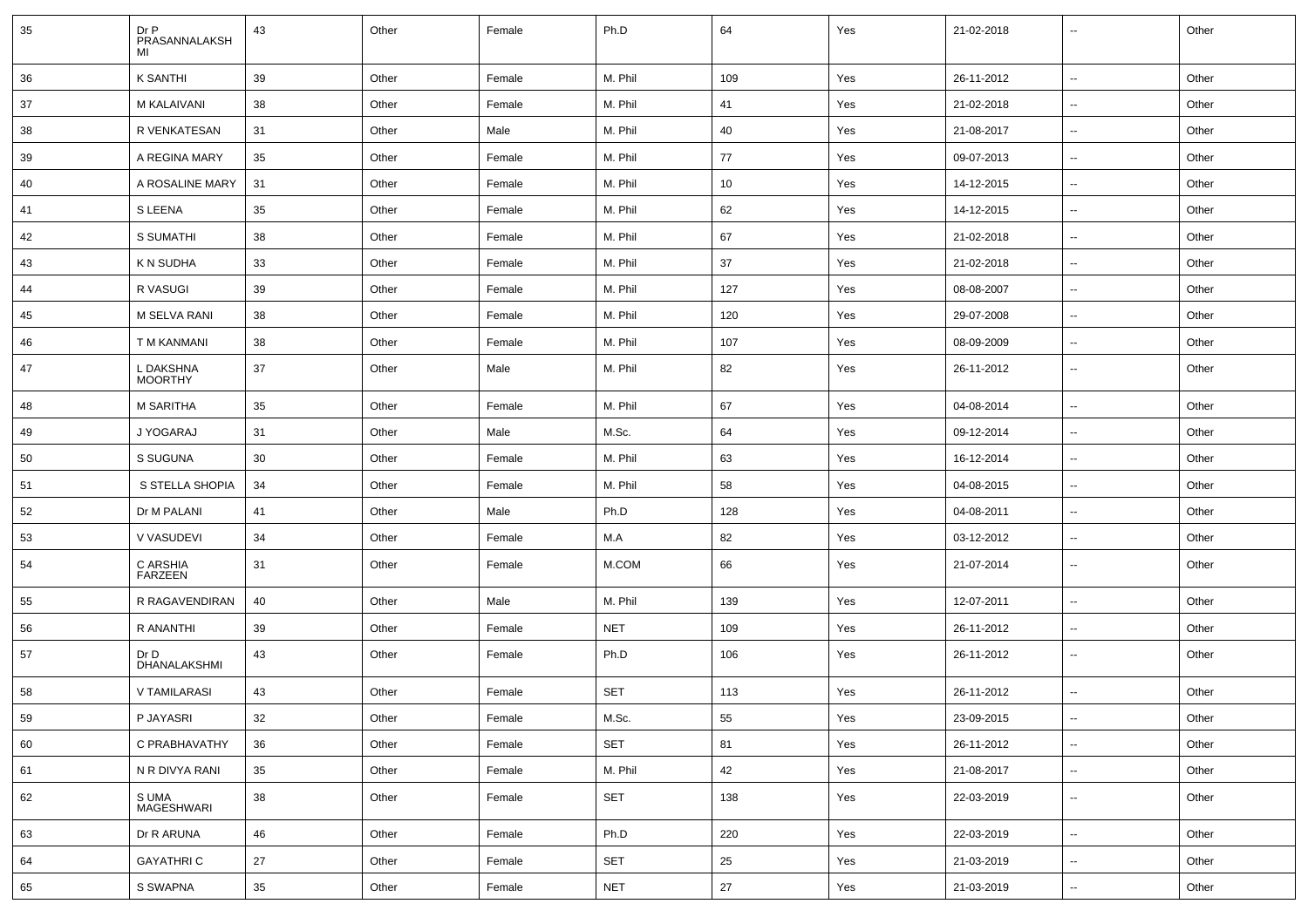| 35 | Dr P<br>PRASANNALAKSH<br>MI | 43 | Other | Female | Ph.D       | 64  | Yes | 21-02-2018 | --                       | Other |
|----|-----------------------------|----|-------|--------|------------|-----|-----|------------|--------------------------|-------|
| 36 | <b>K SANTHI</b>             | 39 | Other | Female | M. Phil    | 109 | Yes | 26-11-2012 | $\sim$                   | Other |
| 37 | M KALAIVANI                 | 38 | Other | Female | M. Phil    | 41  | Yes | 21-02-2018 | ⊶.                       | Other |
| 38 | R VENKATESAN                | 31 | Other | Male   | M. Phil    | 40  | Yes | 21-08-2017 | ⊷.                       | Other |
| 39 | A REGINA MARY               | 35 | Other | Female | M. Phil    | 77  | Yes | 09-07-2013 | ⊷.                       | Other |
| 40 | A ROSALINE MARY             | 31 | Other | Female | M. Phil    | 10  | Yes | 14-12-2015 | --                       | Other |
| 41 | S LEENA                     | 35 | Other | Female | M. Phil    | 62  | Yes | 14-12-2015 | н.                       | Other |
| 42 | <b>S SUMATHI</b>            | 38 | Other | Female | M. Phil    | 67  | Yes | 21-02-2018 | $\sim$                   | Other |
| 43 | K N SUDHA                   | 33 | Other | Female | M. Phil    | 37  | Yes | 21-02-2018 | ⊶.                       | Other |
| 44 | R VASUGI                    | 39 | Other | Female | M. Phil    | 127 | Yes | 08-08-2007 | ⊷.                       | Other |
| 45 | M SELVA RANI                | 38 | Other | Female | M. Phil    | 120 | Yes | 29-07-2008 | ⊷.                       | Other |
| 46 | T M KANMANI                 | 38 | Other | Female | M. Phil    | 107 | Yes | 08-09-2009 | $\overline{\phantom{a}}$ | Other |
| 47 | L DAKSHNA<br><b>MOORTHY</b> | 37 | Other | Male   | M. Phil    | 82  | Yes | 26-11-2012 | н.                       | Other |
| 48 | <b>M SARITHA</b>            | 35 | Other | Female | M. Phil    | 67  | Yes | 04-08-2014 | -−                       | Other |
| 49 | J YOGARAJ                   | 31 | Other | Male   | M.Sc.      | 64  | Yes | 09-12-2014 | ⊷.                       | Other |
| 50 | S SUGUNA                    | 30 | Other | Female | M. Phil    | 63  | Yes | 16-12-2014 | $\sim$                   | Other |
| 51 | S STELLA SHOPIA             | 34 | Other | Female | M. Phil    | 58  | Yes | 04-08-2015 | ⊶.                       | Other |
| 52 | Dr M PALANI                 | 41 | Other | Male   | Ph.D       | 128 | Yes | 04-08-2011 | ⊷.                       | Other |
| 53 | V VASUDEVI                  | 34 | Other | Female | M.A        | 82  | Yes | 03-12-2012 | −−                       | Other |
| 54 | C ARSHIA<br><b>FARZEEN</b>  | 31 | Other | Female | M.COM      | 66  | Yes | 21-07-2014 | --                       | Other |
| 55 | R RAGAVENDIRAN              | 40 | Other | Male   | M. Phil    | 139 | Yes | 12-07-2011 | -−                       | Other |
| 56 | R ANANTHI                   | 39 | Other | Female | <b>NET</b> | 109 | Yes | 26-11-2012 | $\sim$                   | Other |
| 57 | Dr D<br>DHANALAKSHMI        | 43 | Other | Female | Ph.D       | 106 | Yes | 26-11-2012 | −−                       | Other |
| 58 | V TAMILARASI                | 43 | Other | Female | SET        | 113 | Yes | 26-11-2012 | $\overline{\phantom{a}}$ | Other |
| 59 | P JAYASRI                   | 32 | Other | Female | M.Sc.      | 55  | Yes | 23-09-2015 | ⊷                        | Other |
| 60 | C PRABHAVATHY               | 36 | Other | Female | SET        | 81  | Yes | 26-11-2012 | Щ,                       | Other |
| 61 | N R DIVYA RANI              | 35 | Other | Female | M. Phil    | 42  | Yes | 21-08-2017 | ⊶.                       | Other |
| 62 | S UMA<br>MAGESHWARI         | 38 | Other | Female | SET        | 138 | Yes | 22-03-2019 | ⊶.                       | Other |
| 63 | Dr R ARUNA                  | 46 | Other | Female | Ph.D       | 220 | Yes | 22-03-2019 | $\overline{\phantom{a}}$ | Other |
| 64 | <b>GAYATHRIC</b>            | 27 | Other | Female | SET        | 25  | Yes | 21-03-2019 | Щ,                       | Other |
| 65 | S SWAPNA                    | 35 | Other | Female | <b>NET</b> | 27  | Yes | 21-03-2019 | $\overline{\phantom{a}}$ | Other |